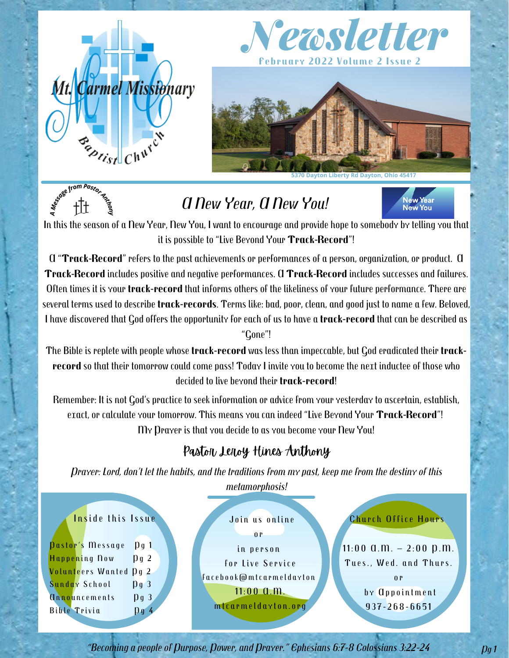

*A <sup>M</sup><sup>e</sup>ssag<sup>e</sup> <sup>f</sup>ro<sup>m</sup> <sup>P</sup>asto<sup>r</sup> <sup>A</sup>nthon<sup>y</sup>*





# *A New Year, A New You!*



In this the season of a New Year, New You, I want to encourage and provide hope to somebody by telling you that it is possible to "Live Beyond Your **Track-Record**"!

A "**Track-Record**" refers to the past achievements or performances ofa person, organization, or product. A **Track-Record** includes positive and negative performances. A **Track-Record** includes successes and failures. Often times it is your **track-record** that informs others ofthe likeliness of your future performance. There are several terms used to describe **track-records**. Terms like: bad, poor, clean, and good just to name a few.Beloved, I have discovered that God offers the opportunity for each of us to have a **track-record** that can be described as

"Gone"!

The Bible is replete with people whose **track-record** was less than impeccable, but God eradicated their **track record** so that their tomorrow could come pass! Today I invite you to become the next inductee of those who decided to live beyond their **track-record**!

Remember: It is not God's practice to seek information or advice from your yesterday to ascertain, establish, exact, or calculate your tomorrow. This means you can indeed "Live Beyond Your **Track-Record**"! My Prayer is that you decide to as you become your New You!

## Pastor Leroy Hines Anthony

Prayer: Lord, don't let the habits, and the traditions from my past, keep me from the destiny of this *metamorphosis!*



*"Becoming a people of Purpose, Power, and Prayer." Ephesians 6:7-8 Colossians 3:22-24 Pg 1*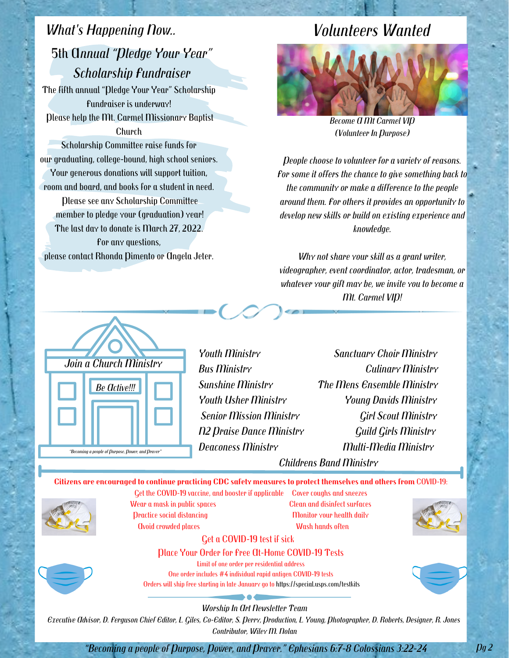## *What's Happening Now..* 5th A*nnual "Pledge Your Year" Scholarship Fundraiser*

The fifth annual "Pledge Your Year" Scholarship Fundraiser is underway! Please help the Mt. Carmel Missionary Baptist Church

Scholarship Committee raise funds for our graduating, college-bound, high school seniors. Your generous donations will support tuition, room and board, and books for a student in need.

Please see any Scholarship Committee member to pledge your (graduation) year! The last day to donate is March 27, 2022. For any questions, please contact Rhonda Pimento or Angela Jeter.

## *Volunteers Wanted*



*Become A Mt Carmel VIP (Volunteer In Purpose)*

*People choose to volunteer for a variety of reasons. For some it offers the chance to give something back to the community or make a difference to the people around them. For others it provides an opportunity to develop new skills or build on existing experience and knowledge.*

*Why not share your skill as a grant writer, videographer, event coordinator, actor, tradesman, or whatever your gift may be, we invite you to become a Mt. Carmel VIP!*



*Youth Ministry Sanctuary Choir Ministry Bus Ministry Culinary Ministry Sunshine Ministry The Mens Ensemble Ministry Youth Usher Ministry Young Davids Ministry Senior Mission Ministry Girl Scout Ministry N2 Praise Dance Ministry Guild Girls Ministry Deaconess Ministry Multi-Media Ministry Childrens Band Ministry*

**Citizens are encouraged to continue practicing CDC safety [measures](https://www.cdc.gov/coronavirus/2019-ncov/prevent-getting-sick/prevention.html) to protect themselves and others from** COVID-19:



Wear a mask in public spaces Clean and disinfect surfaces Practice social distancing Monitor Your health daily Avoid crowded places Wash hands often

Get the COVID-19 vaccine, and booster if applicable Cover coughs and sneezes



#### Get a COVID-19 test if sick

#### Place Your Order for Free At-Home COVID-19 Tests

Limit of one order per residential address

One order includes #4 individual rapid antigen COVID-19 tests Orders will ship free starting in late January go to <https://special.usps.com/testkits>



#### *Worship In Art Newsletter Team*

Executive Advisor, D. Ferguson Chief Editor, L. Giles, Co-Editor, S. Perry, Production, L. Young, Photographer, D. Roberts, Designer, R. Jones *Contributor, Wiley M. Nolan*

*"Becoming a people of Purpose, Power, and Prayer." Ephesians 6:7-8 Colossians 3:22-24 Pg 2*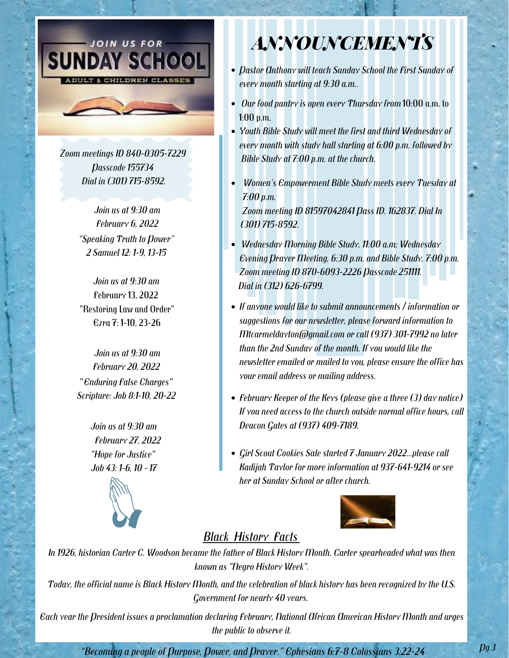

*Zoom meetings ID 840-0305-7229 Passcode 155734 Dial in (301) 715-8592.*

> *Join us at 9:30 am February 6, 2022 "Speaking Truth to Power" 2 Samuel 12: 1-9, 13-15*

> *Join us at 9:30 am* February 13, 2022 "Restoring Law and Order" Ezra 7: 1-10, 23-26

*Join usat 9:30 am February 20, 2022* "*Enduring False Charges" Scripture: Job 8:1-10, 20-22*

> *Join us at 9:30 am February 27, 2022 "Hope for Justice" Job 43: 1-6, 10 - 17*



# *ANNOUNCEMENTS*

- *Pastor Anthony will teach Sunday School the First Sunday of every month starting at 9:30 a.m..*
- *Our food pantry is open every Thursday from* 10:00 a.m.to 1:00 p.m.
- *Youth Bible Study will meet the first and third Wednesday of every month with study hall starting at 6:00 p.m. followed by Bible Study at 7:00 p.m.at the church.*
- *Women's Empowerment Bible Study meets every Tuesday at 7:00 p.m.Zoom meeting ID <sup>81597042841</sup> Pass ID. 162837. Dial In (301) 715-8592.*
- *Wednesday Morning Bible Study, 11:00 a.m; Wednesday Evening Prayer Meeting, 6:30 p.m. and Bible Study, 7:00 p.m. Zoom meeting ID 870-6093-2226 Passcode 251111. Dial in (312) 626-6799.*
- *If anyone would like to submit announcements / information or suggestions for our newsletter, please forward information to Mtcarmeldayton@gmail.com or call (937) 301-7992 no later than the 2nd Sunday of the month. If you would like the newsletter emailed or mailed to you, please ensure the office has your email address or mailing address.*
- *February Keeper of the Keys (please give a three (3) day notice) If you need access to the church outside normal office hours, call Deacon Gates at (937) 409-7189.*
- *Girl Scout Cookies Sale started 7 January 2022...please call Kadijah Taylor for more information at 937-641-9214 or see her at Sunday School or after church.*



## *Black History Facts*

In 1926, historian Carter C. Woodson became the father of Black History Month. Carter spearheaded what was then *known as "Negro History Week".*

Today, the official name is Black History Month, and the celebration of black history has been recognized by the U.S. Government for nearly 40 years.<br>Each year the President issues a proclamation declaring February, National African American History Month and urges

*the public to observe it.*

*"Becoming a people of Purpose, Power, and Prayer." Ephesians 6:7-8 Colossians 3:22-24*